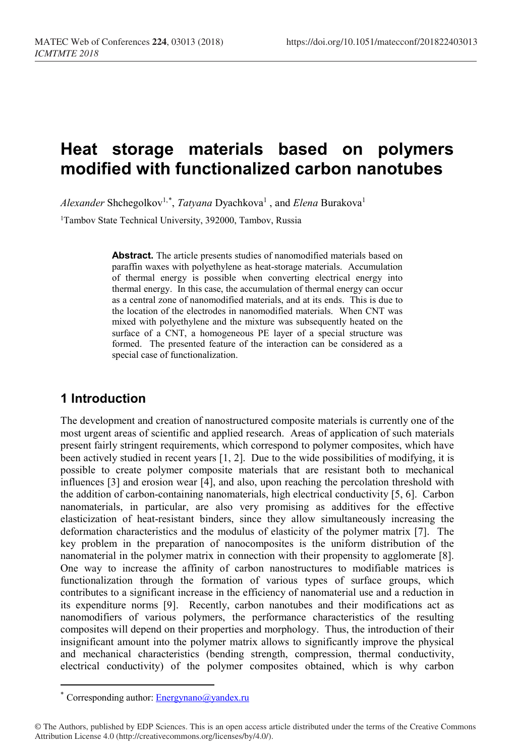# **Heat storage materials based on polymers modified with functionalized carbon nanotubes**

 $Alexander$  Shchegolkov<sup>1,[\\*](#page-0-0)</sup>, *Tatyana* Dyachkova<sup>1</sup> , and *Elena* Burakova<sup>1</sup>

<sup>1</sup>Tambov State Technical University, 392000, Tambov, Russia

**Abstract.** The article presents studies of nanomodified materials based on paraffin waxes with polyethylene as heat-storage materials. Accumulation of thermal energy is possible when converting electrical energy into thermal energy. In this case, the accumulation of thermal energy can occur as a central zone of nanomodified materials, and at its ends. This is due to the location of the electrodes in nanomodified materials. When CNT was mixed with polyethylene and the mixture was subsequently heated on the surface of a CNT, a homogeneous PE layer of a special structure was formed. The presented feature of the interaction can be considered as a special case of functionalization.

### **1 Introduction**

The development and creation of nanostructured composite materials is currently one of the most urgent areas of scientific and applied research. Areas of application of such materials present fairly stringent requirements, which correspond to polymer composites, which have been actively studied in recent years [1, 2]. Due to the wide possibilities of modifying, it is possible to create polymer composite materials that are resistant both to mechanical influences [3] and erosion wear [4], and also, upon reaching the percolation threshold with the addition of carbon-containing nanomaterials, high electrical conductivity [5, 6]. Carbon nanomaterials, in particular, are also very promising as additives for the effective elasticization of heat-resistant binders, since they allow simultaneously increasing the deformation characteristics and the modulus of elasticity of the polymer matrix [7]. The key problem in the preparation of nanocomposites is the uniform distribution of the nanomaterial in the polymer matrix in connection with their propensity to agglomerate [8]. One way to increase the affinity of carbon nanostructures to modifiable matrices is functionalization through the formation of various types of surface groups, which contributes to a significant increase in the efficiency of nanomaterial use and a reduction in its expenditure norms [9]. Recently, carbon nanotubes and their modifications act as nanomodifiers of various polymers, the performance characteristics of the resulting composites will depend on their properties and morphology. Thus, the introduction of their insignificant amount into the polymer matrix allows to significantly improve the physical and mechanical characteristics (bending strength, compression, thermal conductivity, electrical conductivity) of the polymer composites obtained, which is why carbon

 $\overline{a}$ 

<sup>\*</sup> Corresponding author: Energynano@yandex.ru

<span id="page-0-0"></span><sup>©</sup> The Authors, published by EDP Sciences. This is an open access article distributed under the terms of the Creative Commons Attribution License 4.0 (http://creativecommons.org/licenses/by/4.0/).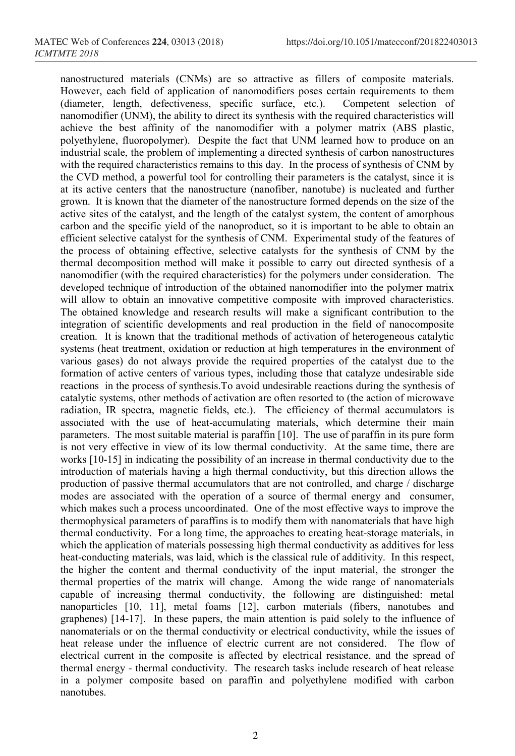nanostructured materials (CNMs) are so attractive as fillers of composite materials. However, each field of application of nanomodifiers poses certain requirements to them (diameter, length, defectiveness, specific surface, etc.). Competent selection of nanomodifier (UNM), the ability to direct its synthesis with the required characteristics will achieve the best affinity of the nanomodifier with a polymer matrix (ABS plastic, polyethylene, fluoropolymer). Despite the fact that UNM learned how to produce on an industrial scale, the problem of implementing a directed synthesis of carbon nanostructures with the required characteristics remains to this day. In the process of synthesis of CNM by the CVD method, a powerful tool for controlling their parameters is the catalyst, since it is at its active centers that the nanostructure (nanofiber, nanotube) is nucleated and further grown. It is known that the diameter of the nanostructure formed depends on the size of the active sites of the catalyst, and the length of the catalyst system, the content of amorphous carbon and the specific yield of the nanoproduct, so it is important to be able to obtain an efficient selective catalyst for the synthesis of CNM. Experimental study of the features of the process of obtaining effective, selective catalysts for the synthesis of CNM by the thermal decomposition method will make it possible to carry out directed synthesis of a nanomodifier (with the required characteristics) for the polymers under consideration. The developed technique of introduction of the obtained nanomodifier into the polymer matrix will allow to obtain an innovative competitive composite with improved characteristics. The obtained knowledge and research results will make a significant contribution to the integration of scientific developments and real production in the field of nanocomposite creation. It is known that the traditional methods of activation of heterogeneous catalytic systems (heat treatment, oxidation or reduction at high temperatures in the environment of various gases) do not always provide the required properties of the catalyst due to the formation of active centers of various types, including those that catalyze undesirable side reactions in the process of synthesis.To avoid undesirable reactions during the synthesis of catalytic systems, other methods of activation are often resorted to (the action of microwave radiation, IR spectra, magnetic fields, etc.). The efficiency of thermal accumulators is associated with the use of heat-accumulating materials, which determine their main parameters. The most suitable material is paraffin [10]. The use of paraffin in its pure form is not very effective in view of its low thermal conductivity. At the same time, there are works [10-15] in indicating the possibility of an increase in thermal conductivity due to the introduction of materials having a high thermal conductivity, but this direction allows the production of passive thermal accumulators that are not controlled, and charge / discharge modes are associated with the operation of a source of thermal energy and consumer, which makes such a process uncoordinated. One of the most effective ways to improve the thermophysical parameters of paraffins is to modify them with nanomaterials that have high thermal conductivity. For a long time, the approaches to creating heat-storage materials, in which the application of materials possessing high thermal conductivity as additives for less heat-conducting materials, was laid, which is the classical rule of additivity. In this respect, the higher the content and thermal conductivity of the input material, the stronger the thermal properties of the matrix will change. Among the wide range of nanomaterials capable of increasing thermal conductivity, the following are distinguished: metal nanoparticles [10, 11], metal foams [12], carbon materials (fibers, nanotubes and graphenes) [14-17]. In these papers, the main attention is paid solely to the influence of nanomaterials or on the thermal conductivity or electrical conductivity, while the issues of heat release under the influence of electric current are not considered. The flow of electrical current in the composite is affected by electrical resistance, and the spread of thermal energy - thermal conductivity. The research tasks include research of heat release in a polymer composite based on paraffin and polyethylene modified with carbon nanotubes.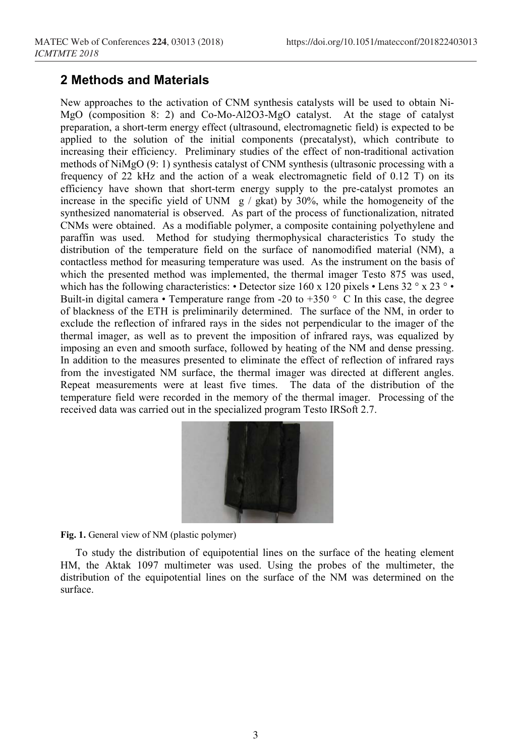#### **2 Methods and Materials**

New approaches to the activation of CNM synthesis catalysts will be used to obtain Ni-MgO (composition 8: 2) and Co-Mo-Al2O3-MgO catalyst. At the stage of catalyst preparation, a short-term energy effect (ultrasound, electromagnetic field) is expected to be applied to the solution of the initial components (precatalyst), which contribute to increasing their efficiency. Preliminary studies of the effect of non-traditional activation methods of NiMgO (9: 1) synthesis catalyst of CNM synthesis (ultrasonic processing with a frequency of 22 kHz and the action of a weak electromagnetic field of 0.12 T) on its efficiency have shown that short-term energy supply to the pre-catalyst promotes an increase in the specific yield of UNM  $g / g$ kat) by 30%, while the homogeneity of the synthesized nanomaterial is observed. As part of the process of functionalization, nitrated CNMs were obtained. As a modifiable polymer, a composite containing polyethylene and paraffin was used. Method for studying thermophysical characteristics To study the distribution of the temperature field on the surface of nanomodified material (NM), a contactless method for measuring temperature was used. As the instrument on the basis of which the presented method was implemented, the thermal imager Testo 875 was used, which has the following characteristics: • Detector size 160 x 120 pixels • Lens 32 ° x 23 ° • Built-in digital camera • Temperature range from -20 to +350  $\degree$  C In this case, the degree of blackness of the ETH is preliminarily determined. The surface of the NM, in order to exclude the reflection of infrared rays in the sides not perpendicular to the imager of the thermal imager, as well as to prevent the imposition of infrared rays, was equalized by imposing an even and smooth surface, followed by heating of the NM and dense pressing. In addition to the measures presented to eliminate the effect of reflection of infrared rays from the investigated NM surface, the thermal imager was directed at different angles. Repeat measurements were at least five times. The data of the distribution of the temperature field were recorded in the memory of the thermal imager. Processing of the received data was carried out in the specialized program Testo IRSoft 2.7.



**Fig. 1.** General view of NM (plastic polymer)

To study the distribution of equipotential lines on the surface of the heating element HM, the Aktak 1097 multimeter was used. Using the probes of the multimeter, the distribution of the equipotential lines on the surface of the NM was determined on the surface.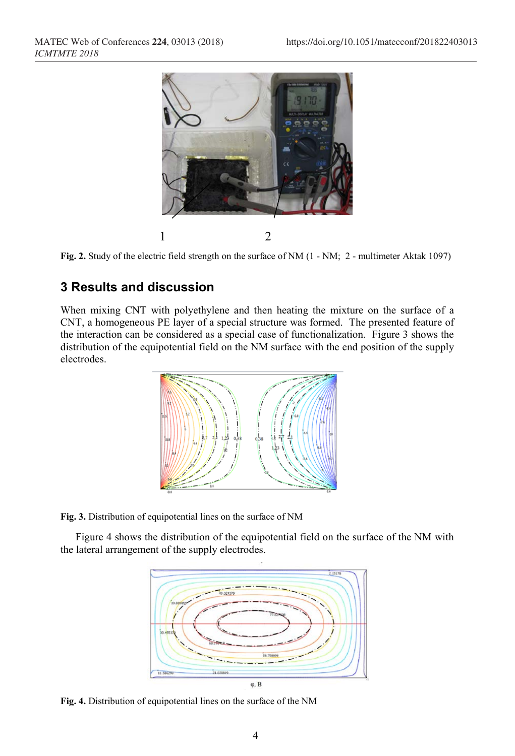

**Fig. 2.** Study of the electric field strength on the surface of NM (1 - NM; 2 - multimeter Aktak 1097)

## **3 Results and discussion**

When mixing CNT with polyethylene and then heating the mixture on the surface of a CNT, a homogeneous PE layer of a special structure was formed. The presented feature of the interaction can be considered as a special case of functionalization. Figure 3 shows the distribution of the equipotential field on the NM surface with the end position of the supply electrodes.



**Fig. 3.** Distribution of equipotential lines on the surface of NM

Figure 4 shows the distribution of the equipotential field on the surface of the NM with the lateral arrangement of the supply electrodes.



**Fig. 4.** Distribution of equipotential lines on the surface of the NM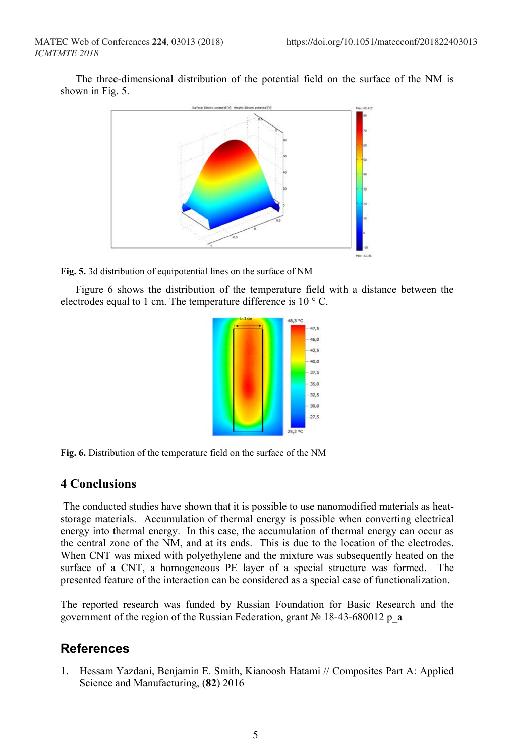The three-dimensional distribution of the potential field on the surface of the NM is shown in Fig. 5.





Figure 6 shows the distribution of the temperature field with a distance between the electrodes equal to 1 cm. The temperature difference is 10 ° C.



**Fig. 6.** Distribution of the temperature field on the surface of the NM

#### **4 Conclusions**

The conducted studies have shown that it is possible to use nanomodified materials as heatstorage materials. Accumulation of thermal energy is possible when converting electrical energy into thermal energy. In this case, the accumulation of thermal energy can occur as the central zone of the NM, and at its ends. This is due to the location of the electrodes. When CNT was mixed with polyethylene and the mixture was subsequently heated on the surface of a CNT, a homogeneous PE layer of a special structure was formed. The presented feature of the interaction can be considered as a special case of functionalization.

The reported research was funded by Russian Foundation for Basic Research and the government of the region of the Russian Federation, grant № 18-43-680012 p\_a

### **References**

1. Hessam Yazdani, Benjamin E. Smith, Kianoosh Hatami // Composites Part A: Applied Science and Manufacturing, (**82**) 2016